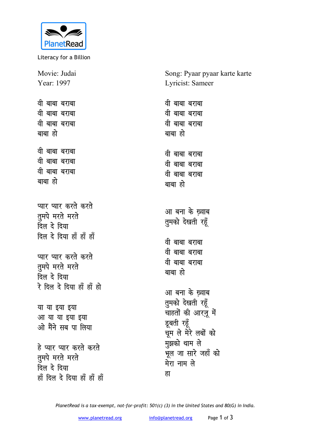

Literacy for a Billion

Song: Pyaar pyaar karte karte Movie: Judai Year: 1997 Lyricist: Sameer वी बाबा बराबा वी बाबा बराबा वी बाबा बराबा वी बाबा बराबा वी बाबा बराबा वी बाबा बराबा बाबा हो बाबा हो वी बाबा बराबा वी बाबा बराबा वी बाबा बराबा वी बाबा बराबा वी बाबा बराबा वी बाबा बराबा बाबा हो बाबा हो प्यार प्यार करते करते आ बना के ख़्वाब तुमपे मरते मरते तुमको देखती रहूँ दिल दे दिया दिल दे दिया हाँ हाँ हाँ वी बाबा बराबा वी बाबा बराबा प्यार प्यार करते करते वी बाबा बराबा तुमपे मरते मरते बाबा हो दिल दे दिया रे दिल दे दिया हाँ हाँ हो आ बना के ख़्वाब तुमको देखती रहूँ या या इया इया चाहतों की आरज़ू में आ या या इया इया डूबती रहूँ ओ मैंने सब पा लिया चूम ले मेरे लबों को मुझको थाम ले हे प्यार प्यार करते करते ्<br>भूल जा सारे जहाँ को तुमपे मरते मरते मेरा नाम ले दिल दे दिया हा हाँ दिल दे दिया हाँ हाँ हाँ

PlanetRead is a tax-exempt, not-for-profit: 501(c) (3) in the United States and 80(G) in India.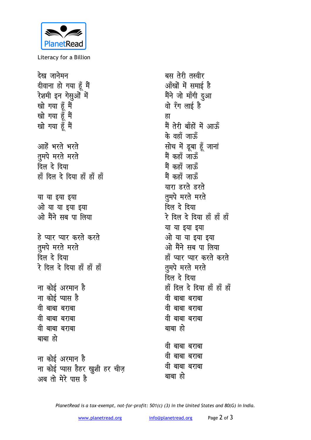

Literacy for a Billion

देख जानेमन दीवाना हो गया हूँ मैं रेशमी इन गेसुओं में खो गया हूँ मैं<br>खो गया हूँ मैं ह्रा खो गया हूँ मैं आहें भरते भरते तूमपे मरते मरते दिल दे दिया हाँ दिल दे दिया हाँ हाँ हाँ या या इया इया ओ या या इया इया ओ मैंने सब पा लिया हे प्यार प्यार करते करते तुमपे मरते मरते दिल दे दिया रे दिल दे दिया हाँ हाँ हाँ ना कोई अरमान है ना कोई प्यास है वी बाबा बराबा वी बाबा बराबा वी बाबा बराबा बाबा हो ना कोई अरमान है ना कोई प्यास हैहर ख्रुशी हर चीज़ वी बाबा बराबा बाबा हो अब तो मेरे पास है

बस तेरी तस्वीर आँखों में समाई है मैंने जो माँगी दुआ वो रँग लाई है मैं तेरी बाँहों में आऊँ के वहाँ जाऊँ सोच में डूबा हूँ जानां .<br>मैं कहाँ जाऊँ मैं कहाँ जाऊँ मैं कहाँ जाऊँ यारा डरते डरते तुमपे मरते मरते दिल दे दिया रे दिल दे दिया हाँ हाँ हाँ या या इया इया ओ या या इया इया ओ मैंने सब पा लिया हाँ प्यार प्यार करते करते तुमपे मरते मरते दिल दे दिया हाँ दिल दे दिया हाँ हाँ हाँ वी बाबा बराबा वी बाबा बराबा वी बाबा बराबा बाबा हो वी बाबा बराबा वी बाबा बराबा

PlanetRead is a tax-exempt, not-for-profit: 501(c) (3) in the United States and 80(G) in India.